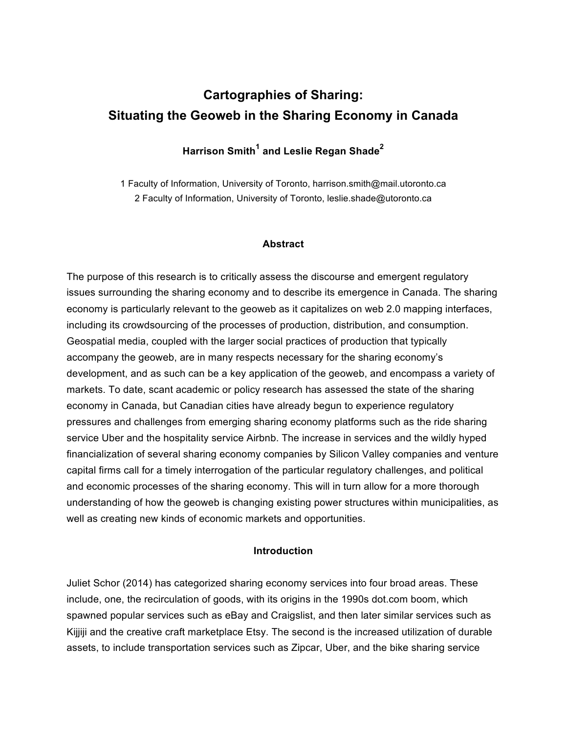# **Cartographies of Sharing: Situating the Geoweb in the Sharing Economy in Canada**

# **Harrison Smith<sup>1</sup> and Leslie Regan Shade<sup>2</sup>**

1 Faculty of Information, University of Toronto, harrison.smith@mail.utoronto.ca 2 Faculty of Information, University of Toronto, leslie.shade@utoronto.ca

#### **Abstract**

The purpose of this research is to critically assess the discourse and emergent regulatory issues surrounding the sharing economy and to describe its emergence in Canada. The sharing economy is particularly relevant to the geoweb as it capitalizes on web 2.0 mapping interfaces, including its crowdsourcing of the processes of production, distribution, and consumption. Geospatial media, coupled with the larger social practices of production that typically accompany the geoweb, are in many respects necessary for the sharing economy's development, and as such can be a key application of the geoweb, and encompass a variety of markets. To date, scant academic or policy research has assessed the state of the sharing economy in Canada, but Canadian cities have already begun to experience regulatory pressures and challenges from emerging sharing economy platforms such as the ride sharing service Uber and the hospitality service Airbnb. The increase in services and the wildly hyped financialization of several sharing economy companies by Silicon Valley companies and venture capital firms call for a timely interrogation of the particular regulatory challenges, and political and economic processes of the sharing economy. This will in turn allow for a more thorough understanding of how the geoweb is changing existing power structures within municipalities, as well as creating new kinds of economic markets and opportunities.

#### **Introduction**

Juliet Schor (2014) has categorized sharing economy services into four broad areas. These include, one, the recirculation of goods, with its origins in the 1990s dot.com boom, which spawned popular services such as eBay and Craigslist, and then later similar services such as Kijjiji and the creative craft marketplace Etsy. The second is the increased utilization of durable assets, to include transportation services such as Zipcar, Uber, and the bike sharing service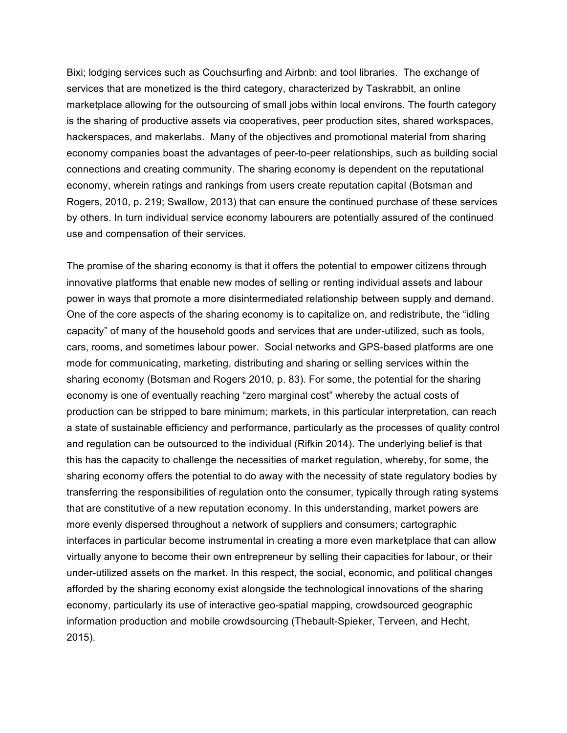Bixi; lodging services such as Couchsurfing and Airbnb; and tool libraries. The exchange of services that are monetized is the third category, characterized by Taskrabbit, an online marketplace allowing for the outsourcing of small jobs within local environs. The fourth category is the sharing of productive assets via cooperatives, peer production sites, shared workspaces, hackerspaces, and makerlabs. Many of the objectives and promotional material from sharing economy companies boast the advantages of peer-to-peer relationships, such as building social connections and creating community. The sharing economy is dependent on the reputational economy, wherein ratings and rankings from users create reputation capital (Botsman and Rogers, 2010, p. 219; Swallow, 2013) that can ensure the continued purchase of these services by others. In turn individual service economy labourers are potentially assured of the continued use and compensation of their services.

The promise of the sharing economy is that it offers the potential to empower citizens through innovative platforms that enable new modes of selling or renting individual assets and labour power in ways that promote a more disintermediated relationship between supply and demand. One of the core aspects of the sharing economy is to capitalize on, and redistribute, the "idling capacity" of many of the household goods and services that are under-utilized, such as tools, cars, rooms, and sometimes labour power. Social networks and GPS-based platforms are one mode for communicating, marketing, distributing and sharing or selling services within the sharing economy (Botsman and Rogers 2010, p. 83). For some, the potential for the sharing economy is one of eventually reaching "zero marginal cost" whereby the actual costs of production can be stripped to bare minimum; markets, in this particular interpretation, can reach a state of sustainable efficiency and performance, particularly as the processes of quality control and regulation can be outsourced to the individual (Rifkin 2014). The underlying belief is that this has the capacity to challenge the necessities of market regulation, whereby, for some, the sharing economy offers the potential to do away with the necessity of state regulatory bodies by transferring the responsibilities of regulation onto the consumer, typically through rating systems that are constitutive of a new reputation economy. In this understanding, market powers are more evenly dispersed throughout a network of suppliers and consumers; cartographic interfaces in particular become instrumental in creating a more even marketplace that can allow virtually anyone to become their own entrepreneur by selling their capacities for labour, or their under-utilized assets on the market. In this respect, the social, economic, and political changes afforded by the sharing economy exist alongside the technological innovations of the sharing economy, particularly its use of interactive geo-spatial mapping, crowdsourced geographic information production and mobile crowdsourcing (Thebault-Spieker, Terveen, and Hecht, 2015).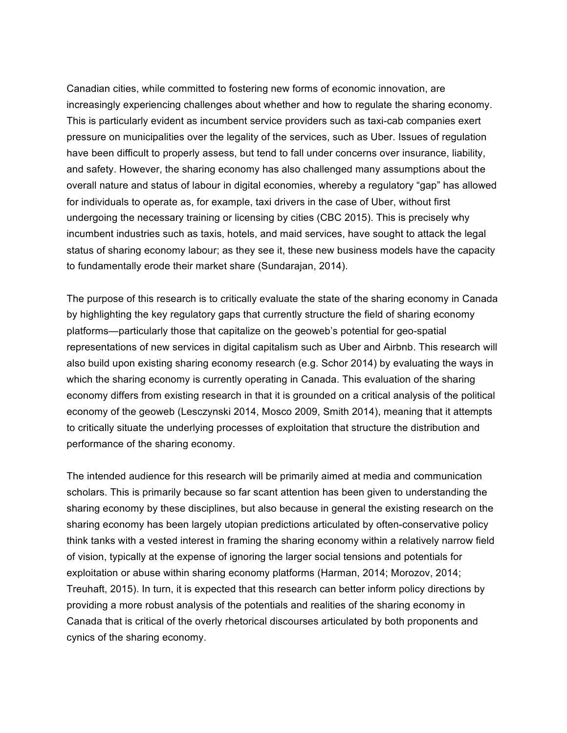Canadian cities, while committed to fostering new forms of economic innovation, are increasingly experiencing challenges about whether and how to regulate the sharing economy. This is particularly evident as incumbent service providers such as taxi-cab companies exert pressure on municipalities over the legality of the services, such as Uber. Issues of regulation have been difficult to properly assess, but tend to fall under concerns over insurance, liability, and safety. However, the sharing economy has also challenged many assumptions about the overall nature and status of labour in digital economies, whereby a regulatory "gap" has allowed for individuals to operate as, for example, taxi drivers in the case of Uber, without first undergoing the necessary training or licensing by cities (CBC 2015). This is precisely why incumbent industries such as taxis, hotels, and maid services, have sought to attack the legal status of sharing economy labour; as they see it, these new business models have the capacity to fundamentally erode their market share (Sundarajan, 2014).

The purpose of this research is to critically evaluate the state of the sharing economy in Canada by highlighting the key regulatory gaps that currently structure the field of sharing economy platforms—particularly those that capitalize on the geoweb's potential for geo-spatial representations of new services in digital capitalism such as Uber and Airbnb. This research will also build upon existing sharing economy research (e.g. Schor 2014) by evaluating the ways in which the sharing economy is currently operating in Canada. This evaluation of the sharing economy differs from existing research in that it is grounded on a critical analysis of the political economy of the geoweb (Lesczynski 2014, Mosco 2009, Smith 2014), meaning that it attempts to critically situate the underlying processes of exploitation that structure the distribution and performance of the sharing economy.

The intended audience for this research will be primarily aimed at media and communication scholars. This is primarily because so far scant attention has been given to understanding the sharing economy by these disciplines, but also because in general the existing research on the sharing economy has been largely utopian predictions articulated by often-conservative policy think tanks with a vested interest in framing the sharing economy within a relatively narrow field of vision, typically at the expense of ignoring the larger social tensions and potentials for exploitation or abuse within sharing economy platforms (Harman, 2014; Morozov, 2014; Treuhaft, 2015). In turn, it is expected that this research can better inform policy directions by providing a more robust analysis of the potentials and realities of the sharing economy in Canada that is critical of the overly rhetorical discourses articulated by both proponents and cynics of the sharing economy.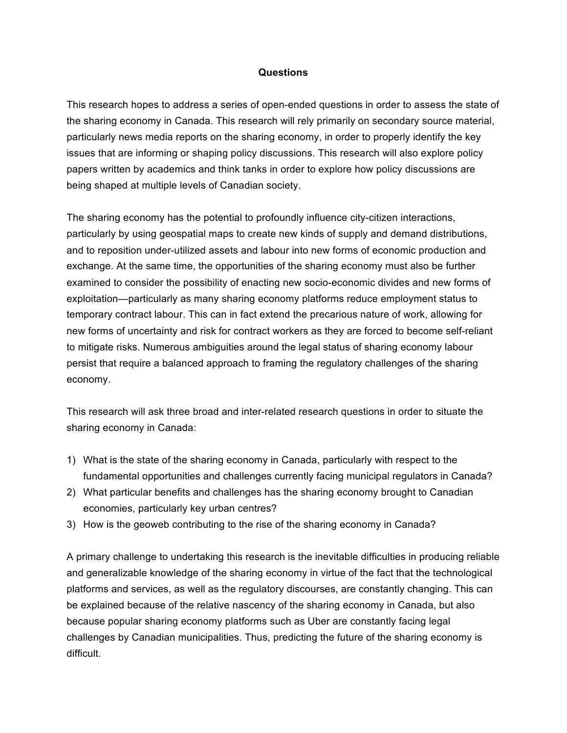### **Questions**

This research hopes to address a series of open-ended questions in order to assess the state of the sharing economy in Canada. This research will rely primarily on secondary source material, particularly news media reports on the sharing economy, in order to properly identify the key issues that are informing or shaping policy discussions. This research will also explore policy papers written by academics and think tanks in order to explore how policy discussions are being shaped at multiple levels of Canadian society.

The sharing economy has the potential to profoundly influence city-citizen interactions, particularly by using geospatial maps to create new kinds of supply and demand distributions, and to reposition under-utilized assets and labour into new forms of economic production and exchange. At the same time, the opportunities of the sharing economy must also be further examined to consider the possibility of enacting new socio-economic divides and new forms of exploitation—particularly as many sharing economy platforms reduce employment status to temporary contract labour. This can in fact extend the precarious nature of work, allowing for new forms of uncertainty and risk for contract workers as they are forced to become self-reliant to mitigate risks. Numerous ambiguities around the legal status of sharing economy labour persist that require a balanced approach to framing the regulatory challenges of the sharing economy.

This research will ask three broad and inter-related research questions in order to situate the sharing economy in Canada:

- 1) What is the state of the sharing economy in Canada, particularly with respect to the fundamental opportunities and challenges currently facing municipal regulators in Canada?
- 2) What particular benefits and challenges has the sharing economy brought to Canadian economies, particularly key urban centres?
- 3) How is the geoweb contributing to the rise of the sharing economy in Canada?

A primary challenge to undertaking this research is the inevitable difficulties in producing reliable and generalizable knowledge of the sharing economy in virtue of the fact that the technological platforms and services, as well as the regulatory discourses, are constantly changing. This can be explained because of the relative nascency of the sharing economy in Canada, but also because popular sharing economy platforms such as Uber are constantly facing legal challenges by Canadian municipalities. Thus, predicting the future of the sharing economy is difficult.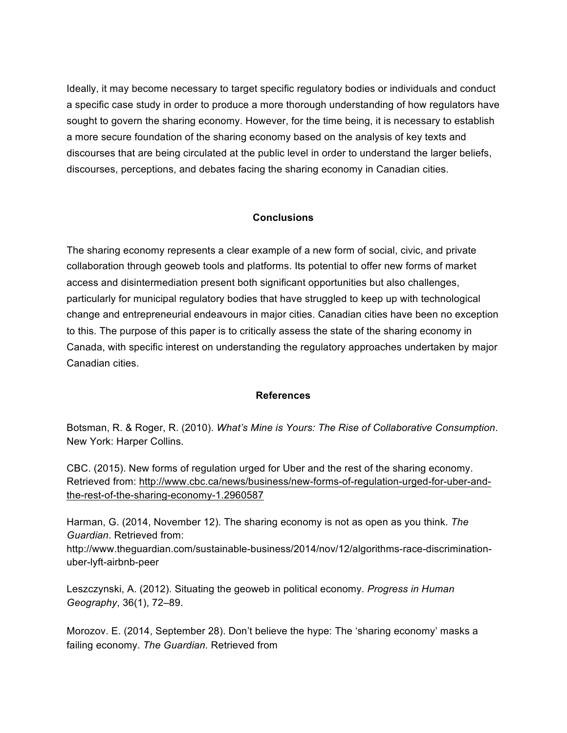Ideally, it may become necessary to target specific regulatory bodies or individuals and conduct a specific case study in order to produce a more thorough understanding of how regulators have sought to govern the sharing economy. However, for the time being, it is necessary to establish a more secure foundation of the sharing economy based on the analysis of key texts and discourses that are being circulated at the public level in order to understand the larger beliefs, discourses, perceptions, and debates facing the sharing economy in Canadian cities.

# **Conclusions**

The sharing economy represents a clear example of a new form of social, civic, and private collaboration through geoweb tools and platforms. Its potential to offer new forms of market access and disintermediation present both significant opportunities but also challenges, particularly for municipal regulatory bodies that have struggled to keep up with technological change and entrepreneurial endeavours in major cities. Canadian cities have been no exception to this. The purpose of this paper is to critically assess the state of the sharing economy in Canada, with specific interest on understanding the regulatory approaches undertaken by major Canadian cities.

# **References**

Botsman, R. & Roger, R. (2010). *What's Mine is Yours: The Rise of Collaborative Consumption*. New York: Harper Collins.

CBC. (2015). New forms of regulation urged for Uber and the rest of the sharing economy. Retrieved from: http://www.cbc.ca/news/business/new-forms-of-regulation-urged-for-uber-andthe-rest-of-the-sharing-economy-1.2960587

Harman, G. (2014, November 12). The sharing economy is not as open as you think. *The Guardian*. Retrieved from:

http://www.theguardian.com/sustainable-business/2014/nov/12/algorithms-race-discriminationuber-lyft-airbnb-peer

Leszczynski, A. (2012). Situating the geoweb in political economy. *Progress in Human Geography*, 36(1), 72–89.

Morozov. E. (2014, September 28). Don't believe the hype: The 'sharing economy' masks a failing economy. *The Guardian.* Retrieved from